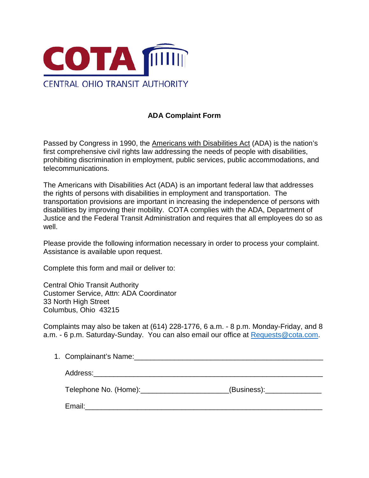

## **ADA Complaint Form**

Passed by Congress in 1990, the Americans with Disabilities Act (ADA) is the nation's first comprehensive civil rights law addressing the needs of people with disabilities, prohibiting discrimination in employment, public services, public accommodations, and telecommunications.

The Americans with Disabilities Act (ADA) is an important federal law that addresses the rights of persons with disabilities in employment and transportation. The transportation provisions are important in increasing the independence of persons with disabilities by improving their mobility. COTA complies with the ADA, Department of Justice and the Federal Transit Administration and requires that all employees do so as well.

Please provide the following information necessary in order to process your complaint. Assistance is available upon request.

Complete this form and mail or deliver to:

Central Ohio Transit Authority Customer Service, Attn: ADA Coordinator 33 North High Street Columbus, Ohio 43215

Complaints may also be taken at (614) 228-1776, 6 a.m. - 8 p.m. Monday-Friday, and 8 a.m. - 6 p.m. Saturday-Sunday. You can also email our office at [Requests@cota.com.](mailto:Requests@cota.com)

| Telephone No. (Home): Telephone No. (Home): | (Business): |
|---------------------------------------------|-------------|
| Email:                                      |             |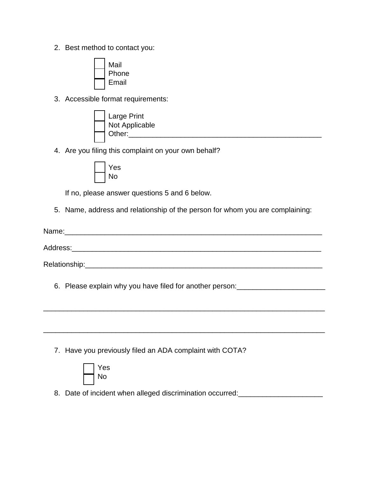2. Best method to contact you:



3. Accessible format requirements:

| Large Print    |
|----------------|
| Not Applicable |
| Other:         |

4. Are you filing this complaint on your own behalf?



If no, please answer questions 5 and 6 below.

5. Name, address and relationship of the person for whom you are complaining:

| Name:         |  |  |
|---------------|--|--|
| Address:      |  |  |
| Relationship: |  |  |

\_\_\_\_\_\_\_\_\_\_\_\_\_\_\_\_\_\_\_\_\_\_\_\_\_\_\_\_\_\_\_\_\_\_\_\_\_\_\_\_\_\_\_\_\_\_\_\_\_\_\_\_\_\_\_\_\_\_\_\_\_\_\_\_\_\_\_\_\_\_

\_\_\_\_\_\_\_\_\_\_\_\_\_\_\_\_\_\_\_\_\_\_\_\_\_\_\_\_\_\_\_\_\_\_\_\_\_\_\_\_\_\_\_\_\_\_\_\_\_\_\_\_\_\_\_\_\_\_\_\_\_\_\_\_\_\_\_\_\_\_

6. Please explain why you have filed for another person:

7. Have you previously filed an ADA complaint with COTA?



8. Date of incident when alleged discrimination occurred: \_\_\_\_\_\_\_\_\_\_\_\_\_\_\_\_\_\_\_\_\_\_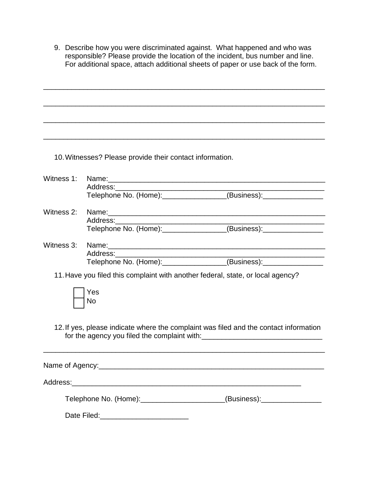9. Describe how you were discriminated against. What happened and who was responsible? Please provide the location of the incident, bus number and line. For additional space, attach additional sheets of paper or use back of the form.

\_\_\_\_\_\_\_\_\_\_\_\_\_\_\_\_\_\_\_\_\_\_\_\_\_\_\_\_\_\_\_\_\_\_\_\_\_\_\_\_\_\_\_\_\_\_\_\_\_\_\_\_\_\_\_\_\_\_\_\_\_\_\_\_\_\_\_\_\_\_

\_\_\_\_\_\_\_\_\_\_\_\_\_\_\_\_\_\_\_\_\_\_\_\_\_\_\_\_\_\_\_\_\_\_\_\_\_\_\_\_\_\_\_\_\_\_\_\_\_\_\_\_\_\_\_\_\_\_\_\_\_\_\_\_\_\_\_\_\_\_

\_\_\_\_\_\_\_\_\_\_\_\_\_\_\_\_\_\_\_\_\_\_\_\_\_\_\_\_\_\_\_\_\_\_\_\_\_\_\_\_\_\_\_\_\_\_\_\_\_\_\_\_\_\_\_\_\_\_\_\_\_\_\_\_\_\_\_\_\_\_

\_\_\_\_\_\_\_\_\_\_\_\_\_\_\_\_\_\_\_\_\_\_\_\_\_\_\_\_\_\_\_\_\_\_\_\_\_\_\_\_\_\_\_\_\_\_\_\_\_\_\_\_\_\_\_\_\_\_\_\_\_\_\_\_\_\_\_\_\_\_

10.Witnesses? Please provide their contact information.

| Witness 1:                                                                            |                                                                                                                                                                                                                                |                                                                                                                                                                                                                                |  |  |  |  |
|---------------------------------------------------------------------------------------|--------------------------------------------------------------------------------------------------------------------------------------------------------------------------------------------------------------------------------|--------------------------------------------------------------------------------------------------------------------------------------------------------------------------------------------------------------------------------|--|--|--|--|
|                                                                                       |                                                                                                                                                                                                                                |                                                                                                                                                                                                                                |  |  |  |  |
|                                                                                       |                                                                                                                                                                                                                                |                                                                                                                                                                                                                                |  |  |  |  |
|                                                                                       |                                                                                                                                                                                                                                | Witness 2: Name: Name: Name: Name: Name: Name: Name: Name: Name: Name: Name: Name: Name: Name: Name: Name: Name: Name: Name: Name: Name: Name: Name: Name: Name: Name: Name: Name: Name: Name: Name: Name: Name: Name: Name: N |  |  |  |  |
|                                                                                       |                                                                                                                                                                                                                                |                                                                                                                                                                                                                                |  |  |  |  |
|                                                                                       |                                                                                                                                                                                                                                |                                                                                                                                                                                                                                |  |  |  |  |
|                                                                                       | Witness 3: Name: Name: Name: Name: Name: Name: Name: Name: Name: Name: Name: Name: Name: Name: Name: Name: Name: Name: Name: Name: Name: Name: Name: Name: Name: Name: Name: Name: Name: Name: Name: Name: Name: Name: Name: N |                                                                                                                                                                                                                                |  |  |  |  |
|                                                                                       |                                                                                                                                                                                                                                |                                                                                                                                                                                                                                |  |  |  |  |
|                                                                                       |                                                                                                                                                                                                                                | Telephone No. (Home): (Business): (2009)                                                                                                                                                                                       |  |  |  |  |
| 11. Have you filed this complaint with another federal, state, or local agency?       |                                                                                                                                                                                                                                |                                                                                                                                                                                                                                |  |  |  |  |
|                                                                                       | Yes                                                                                                                                                                                                                            |                                                                                                                                                                                                                                |  |  |  |  |
|                                                                                       | No                                                                                                                                                                                                                             |                                                                                                                                                                                                                                |  |  |  |  |
|                                                                                       |                                                                                                                                                                                                                                |                                                                                                                                                                                                                                |  |  |  |  |
| 12. If yes, please indicate where the complaint was filed and the contact information |                                                                                                                                                                                                                                |                                                                                                                                                                                                                                |  |  |  |  |
|                                                                                       |                                                                                                                                                                                                                                |                                                                                                                                                                                                                                |  |  |  |  |
|                                                                                       |                                                                                                                                                                                                                                |                                                                                                                                                                                                                                |  |  |  |  |
|                                                                                       |                                                                                                                                                                                                                                |                                                                                                                                                                                                                                |  |  |  |  |
|                                                                                       |                                                                                                                                                                                                                                |                                                                                                                                                                                                                                |  |  |  |  |
|                                                                                       |                                                                                                                                                                                                                                | Telephone No. (Home): _____________________(Business): _________________________                                                                                                                                               |  |  |  |  |
|                                                                                       |                                                                                                                                                                                                                                |                                                                                                                                                                                                                                |  |  |  |  |